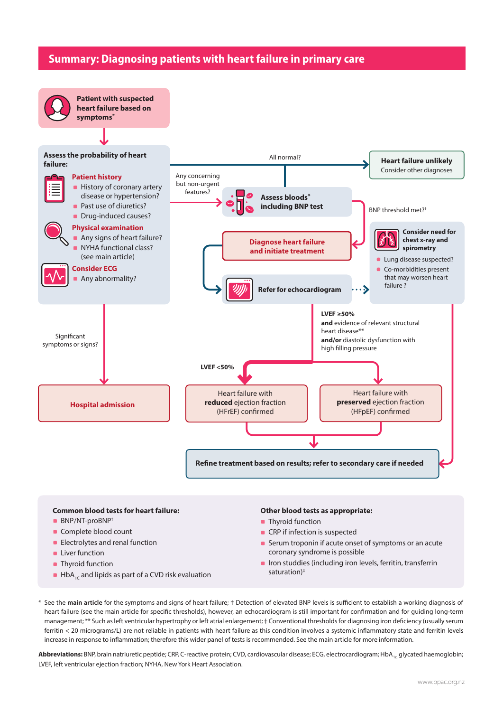## **Summary: Diagnosing patients with heart failure in primary care**



## **Common blood tests for heart failure:**

- BNP/NT-proBNP<sup>+</sup>
- Complete blood count
- **Electrolytes and renal function**
- **Liver function**
- **Thyroid function**
- $\blacksquare$  HbA<sub>1C</sub> and lipids as part of a CVD risk evaluation

### **Other blood tests as appropriate:**

- **Thyroid function**
- **CRP** if infection is suspected
- **Serum troponin if acute onset of symptoms or an acute** coronary syndrome is possible
- **IF** Iron studdies (including iron levels, ferritin, transferrin saturation)<sup>#</sup>

\* See the **[main article](https://bpac.org.nz/2022/heart-failure-part-1.aspx)** for the symptoms and signs of heart failure; † Detection of elevated BNP levels is sufficient to establish a working diagnosis of heart failure (see the main article for specific thresholds), however, an echocardiogram is still important for confirmation and for guiding long-term management; \*\* Such as left ventricular hypertrophy or left atrial enlargement; # Conventional thresholds for diagnosing iron deficiency (usually serum ferritin < 20 micrograms/L) are not reliable in patients with heart failure as this condition involves a systemic inflammatory state and ferritin levels increase in response to inflammation; therefore this wider panel of tests is recommended. See the main article for more information.

Abbreviations: BNP, brain natriuretic peptide; CRP, C-reactive protein; CVD, cardiovascular disease; ECG, electrocardiogram; HbA, glycated haemoglobin; LVEF, left ventricular ejection fraction; NYHA, New York Heart Association.